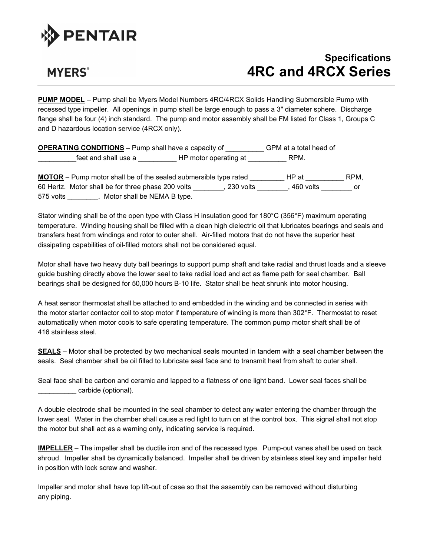

## **MYERS**<sup>®</sup>

## **Specifications 4RC and 4RCX Series**

**PUMP MODEL** – Pump shall be Myers Model Numbers 4RC/4RCX Solids Handling Submersible Pump with recessed type impeller. All openings in pump shall be large enough to pass a 3" diameter sphere. Discharge flange shall be four (4) inch standard. The pump and motor assembly shall be FM listed for Class 1, Groups C and D hazardous location service (4RCX only).

**OPERATING CONDITIONS** – Pump shall have a capacity of \_\_\_\_\_\_\_\_\_\_ GPM at a total head of \_\_\_\_\_\_\_\_\_\_feet and shall use a \_\_\_\_\_\_\_\_\_\_ HP motor operating at \_\_\_\_\_\_\_\_\_\_ RPM.

**MOTOR** – Pump motor shall be of the sealed submersible type rated \_\_\_\_\_\_\_\_\_ HP at \_\_\_\_\_\_\_\_\_\_ RPM, 60 Hertz. Motor shall be for three phase 200 volts \_\_\_\_\_\_\_\_, 230 volts \_\_\_\_\_\_\_\_, 460 volts \_\_\_\_\_\_\_\_ or 575 volts \_\_\_\_\_\_\_\_. Motor shall be NEMA B type.

Stator winding shall be of the open type with Class H insulation good for 180°C (356°F) maximum operating temperature. Winding housing shall be filled with a clean high dielectric oil that lubricates bearings and seals and transfers heat from windings and rotor to outer shell. Air-filled motors that do not have the superior heat dissipating capabilities of oil-filled motors shall not be considered equal.

Motor shall have two heavy duty ball bearings to support pump shaft and take radial and thrust loads and a sleeve guide bushing directly above the lower seal to take radial load and act as flame path for seal chamber. Ball bearings shall be designed for 50,000 hours B-10 life. Stator shall be heat shrunk into motor housing.

A heat sensor thermostat shall be attached to and embedded in the winding and be connected in series with the motor starter contactor coil to stop motor if temperature of winding is more than 302°F. Thermostat to reset automatically when motor cools to safe operating temperature. The common pump motor shaft shall be of 416 stainless steel.

**SEALS** – Motor shall be protected by two mechanical seals mounted in tandem with a seal chamber between the seals. Seal chamber shall be oil filled to lubricate seal face and to transmit heat from shaft to outer shell.

Seal face shall be carbon and ceramic and lapped to a flatness of one light band. Lower seal faces shall be \_\_\_\_\_\_\_\_\_\_ carbide (optional).

A double electrode shall be mounted in the seal chamber to detect any water entering the chamber through the lower seal. Water in the chamber shall cause a red light to turn on at the control box. This signal shall not stop the motor but shall act as a warning only, indicating service is required.

**IMPELLER** – The impeller shall be ductile iron and of the recessed type. Pump-out vanes shall be used on back shroud. Impeller shall be dynamically balanced. Impeller shall be driven by stainless steel key and impeller held in position with lock screw and washer.

Impeller and motor shall have top lift-out of case so that the assembly can be removed without disturbing any piping.